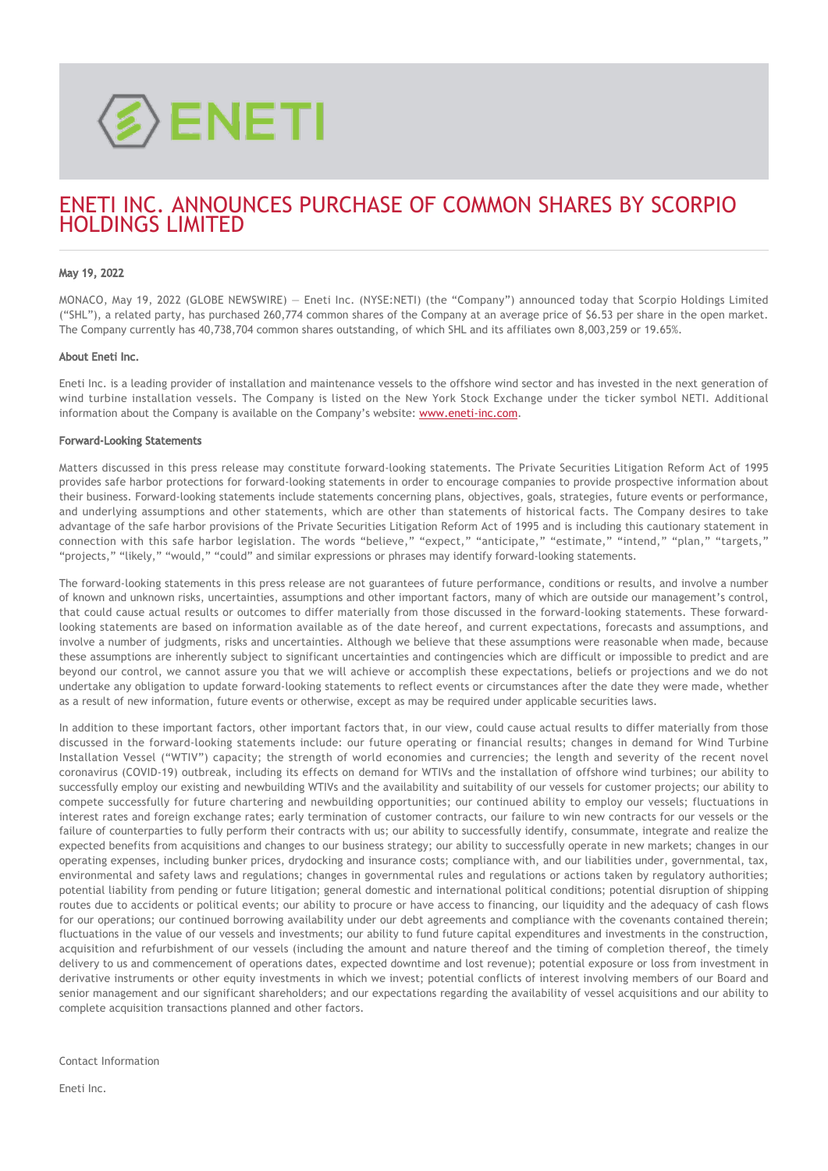

## ENETI INC. ANNOUNCES PURCHASE OF COMMON SHARES BY SCORPIO HOLDINGS LIMITED

## May 19, 2022

MONACO, May 19, 2022 (GLOBE NEWSWIRE) — Eneti Inc. (NYSE:NETI) (the "Company") announced today that Scorpio Holdings Limited ("SHL"), a related party, has purchased 260,774 common shares of the Company at an average price of \$6.53 per share in the open market. The Company currently has 40,738,704 common shares outstanding, of which SHL and its affiliates own 8,003,259 or 19.65%.

## About Eneti Inc.

Eneti Inc. is a leading provider of installation and maintenance vessels to the offshore wind sector and has invested in the next generation of wind turbine installation vessels. The Company is listed on the New York Stock Exchange under the ticker symbol NETI. Additional information about the Company is available on the Company's website: [www.eneti-inc.com](https://www.globenewswire.com/Tracker?data=wd_D8_DID8NK0xBXX6G8nhzi1m9lpa6gZYkho5PCQ2BkAc0uPrgOoVxzPJ6sCf6Qd7GM8fV7hfOVFjsgE2LjOQ==).

## Forward-Looking Statements

Matters discussed in this press release may constitute forward-looking statements. The Private Securities Litigation Reform Act of 1995 provides safe harbor protections for forward-looking statements in order to encourage companies to provide prospective information about their business. Forward-looking statements include statements concerning plans, objectives, goals, strategies, future events or performance, and underlying assumptions and other statements, which are other than statements of historical facts. The Company desires to take advantage of the safe harbor provisions of the Private Securities Litigation Reform Act of 1995 and is including this cautionary statement in connection with this safe harbor legislation. The words "believe," "expect," "anticipate," "estimate," "intend," "plan," "targets," "projects," "likely," "would," "could" and similar expressions or phrases may identify forward-looking statements.

The forward-looking statements in this press release are not guarantees of future performance, conditions or results, and involve a number of known and unknown risks, uncertainties, assumptions and other important factors, many of which are outside our management's control, that could cause actual results or outcomes to differ materially from those discussed in the forward-looking statements. These forwardlooking statements are based on information available as of the date hereof, and current expectations, forecasts and assumptions, and involve a number of judgments, risks and uncertainties. Although we believe that these assumptions were reasonable when made, because these assumptions are inherently subject to significant uncertainties and contingencies which are difficult or impossible to predict and are beyond our control, we cannot assure you that we will achieve or accomplish these expectations, beliefs or projections and we do not undertake any obligation to update forward-looking statements to reflect events or circumstances after the date they were made, whether as a result of new information, future events or otherwise, except as may be required under applicable securities laws.

In addition to these important factors, other important factors that, in our view, could cause actual results to differ materially from those discussed in the forward-looking statements include: our future operating or financial results; changes in demand for Wind Turbine Installation Vessel ("WTIV") capacity; the strength of world economies and currencies; the length and severity of the recent novel coronavirus (COVID-19) outbreak, including its effects on demand for WTIVs and the installation of offshore wind turbines; our ability to successfully employ our existing and newbuilding WTIVs and the availability and suitability of our vessels for customer projects; our ability to compete successfully for future chartering and newbuilding opportunities; our continued ability to employ our vessels; fluctuations in interest rates and foreign exchange rates; early termination of customer contracts, our failure to win new contracts for our vessels or the failure of counterparties to fully perform their contracts with us; our ability to successfully identify, consummate, integrate and realize the expected benefits from acquisitions and changes to our business strategy; our ability to successfully operate in new markets; changes in our operating expenses, including bunker prices, drydocking and insurance costs; compliance with, and our liabilities under, governmental, tax, environmental and safety laws and regulations; changes in governmental rules and regulations or actions taken by regulatory authorities; potential liability from pending or future litigation; general domestic and international political conditions; potential disruption of shipping routes due to accidents or political events; our ability to procure or have access to financing, our liquidity and the adequacy of cash flows for our operations; our continued borrowing availability under our debt agreements and compliance with the covenants contained therein; fluctuations in the value of our vessels and investments; our ability to fund future capital expenditures and investments in the construction, acquisition and refurbishment of our vessels (including the amount and nature thereof and the timing of completion thereof, the timely delivery to us and commencement of operations dates, expected downtime and lost revenue); potential exposure or loss from investment in derivative instruments or other equity investments in which we invest; potential conflicts of interest involving members of our Board and senior management and our significant shareholders; and our expectations regarding the availability of vessel acquisitions and our ability to complete acquisition transactions planned and other factors.

Contact Information

Eneti Inc.